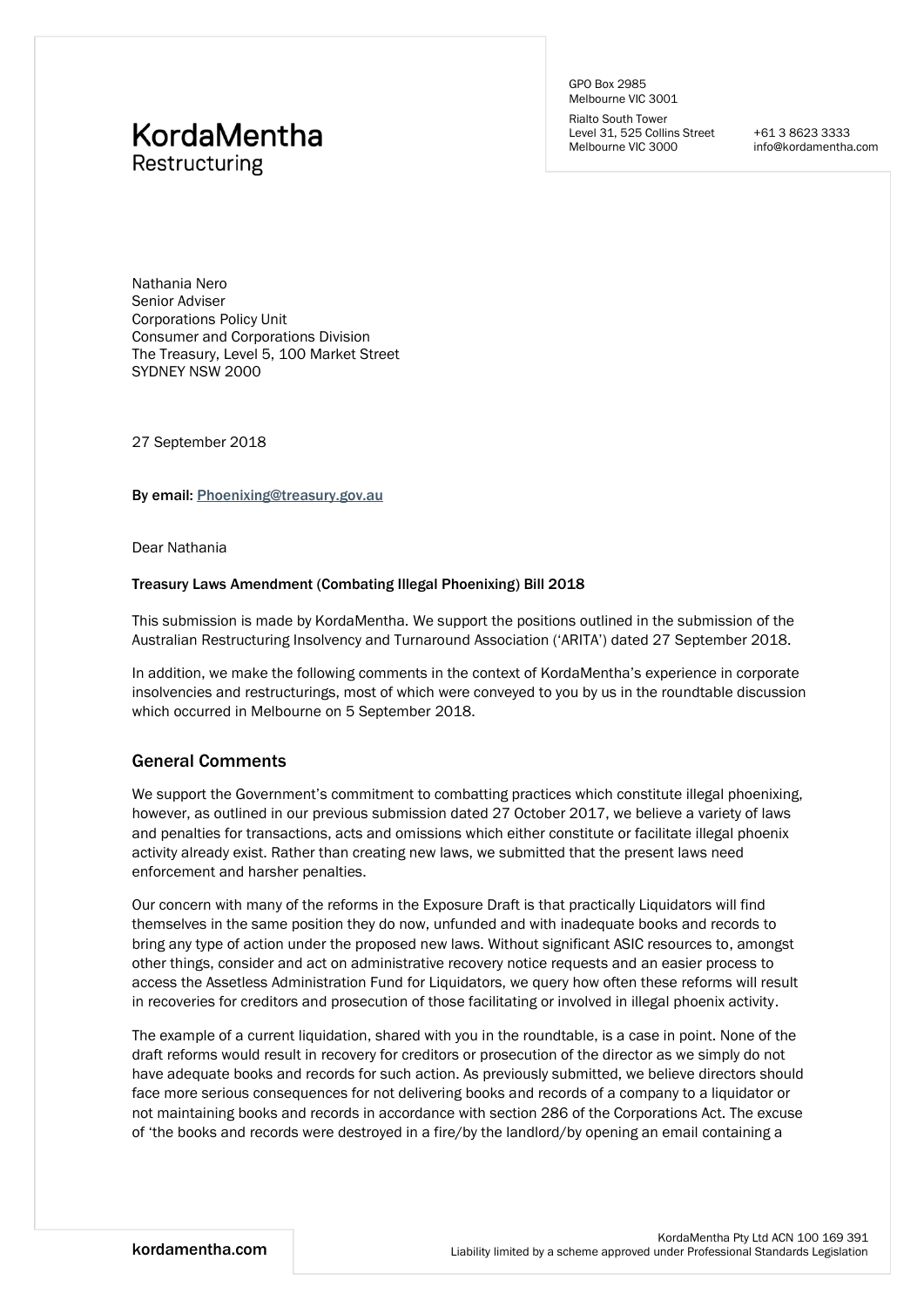# **KordaMentha** Restructuring

GPO Box 2985 Melbourne VIC 3001

Rialto South Tower Level 31, 525 Collins Street Melbourne VIC 3000

+61 3 8623 3333 info@kordamentha.com

Nathania Nero Senior Adviser Corporations Policy Unit Consumer and Corporations Division The Treasury, Level 5, 100 Market Street SYDNEY NSW 2000

27 September 2018

By email: [Phoenixing@treasury.gov.au](mailto:Phoenixing@treasury.gov.au)

Dear Nathania

#### Treasury Laws Amendment (Combating Illegal Phoenixing) Bill 2018

This submission is made by KordaMentha. We support the positions outlined in the submission of the Australian Restructuring Insolvency and Turnaround Association ('ARITA') dated 27 September 2018.

In addition, we make the following comments in the context of KordaMentha's experience in corporate insolvencies and restructurings, most of which were conveyed to you by us in the roundtable discussion which occurred in Melbourne on 5 September 2018.

## General Comments

We support the Government's commitment to combatting practices which constitute illegal phoenixing, however, as outlined in our previous submission dated 27 October 2017, we believe a variety of laws and penalties for transactions, acts and omissions which either constitute or facilitate illegal phoenix activity already exist. Rather than creating new laws, we submitted that the present laws need enforcement and harsher penalties.

Our concern with many of the reforms in the Exposure Draft is that practically Liquidators will find themselves in the same position they do now, unfunded and with inadequate books and records to bring any type of action under the proposed new laws. Without significant ASIC resources to, amongst other things, consider and act on administrative recovery notice requests and an easier process to access the Assetless Administration Fund for Liquidators, we query how often these reforms will result in recoveries for creditors and prosecution of those facilitating or involved in illegal phoenix activity.

The example of a current liquidation, shared with you in the roundtable, is a case in point. None of the draft reforms would result in recovery for creditors or prosecution of the director as we simply do not have adequate books and records for such action. As previously submitted, we believe directors should face more serious consequences for not delivering books and records of a company to a liquidator or not maintaining books and records in accordance with section 286 of the Corporations Act. The excuse of 'the books and records were destroyed in a fire/by the landlord/by opening an email containing a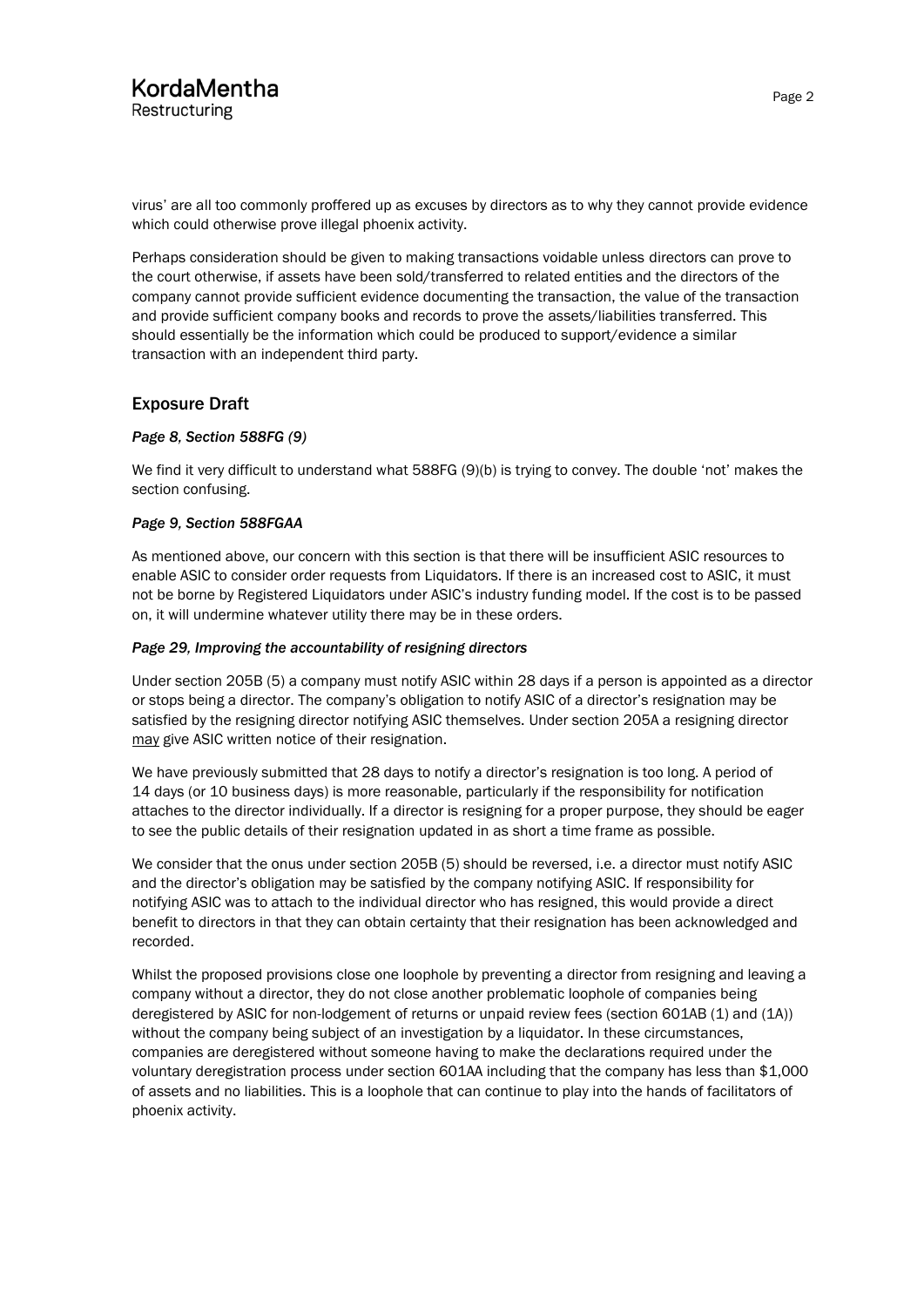## KordaMentha Restructuring

virus' are all too commonly proffered up as excuses by directors as to why they cannot provide evidence which could otherwise prove illegal phoenix activity.

Perhaps consideration should be given to making transactions voidable unless directors can prove to the court otherwise, if assets have been sold/transferred to related entities and the directors of the company cannot provide sufficient evidence documenting the transaction, the value of the transaction and provide sufficient company books and records to prove the assets/liabilities transferred. This should essentially be the information which could be produced to support/evidence a similar transaction with an independent third party.

## Exposure Draft

### *Page 8, Section 588FG (9)*

We find it very difficult to understand what 588FG (9)(b) is trying to convey. The double 'not' makes the section confusing.

### *Page 9, Section 588FGAA*

As mentioned above, our concern with this section is that there will be insufficient ASIC resources to enable ASIC to consider order requests from Liquidators. If there is an increased cost to ASIC, it must not be borne by Registered Liquidators under ASIC's industry funding model. If the cost is to be passed on, it will undermine whatever utility there may be in these orders.

### *Page 29, Improving the accountability of resigning directors*

Under section 205B (5) a company must notify ASIC within 28 days if a person is appointed as a director or stops being a director. The company's obligation to notify ASIC of a director's resignation may be satisfied by the resigning director notifying ASIC themselves. Under section 205A a resigning director may give ASIC written notice of their resignation.

We have previously submitted that 28 days to notify a director's resignation is too long. A period of 14 days (or 10 business days) is more reasonable, particularly if the responsibility for notification attaches to the director individually. If a director is resigning for a proper purpose, they should be eager to see the public details of their resignation updated in as short a time frame as possible.

We consider that the onus under section 205B (5) should be reversed, i.e. a director must notify ASIC and the director's obligation may be satisfied by the company notifying ASIC. If responsibility for notifying ASIC was to attach to the individual director who has resigned, this would provide a direct benefit to directors in that they can obtain certainty that their resignation has been acknowledged and recorded.

Whilst the proposed provisions close one loophole by preventing a director from resigning and leaving a company without a director, they do not close another problematic loophole of companies being deregistered by ASIC for non-lodgement of returns or unpaid review fees (section 601AB (1) and (1A)) without the company being subject of an investigation by a liquidator. In these circumstances, companies are deregistered without someone having to make the declarations required under the voluntary deregistration process under section 601AA including that the company has less than \$1,000 of assets and no liabilities. This is a loophole that can continue to play into the hands of facilitators of phoenix activity.